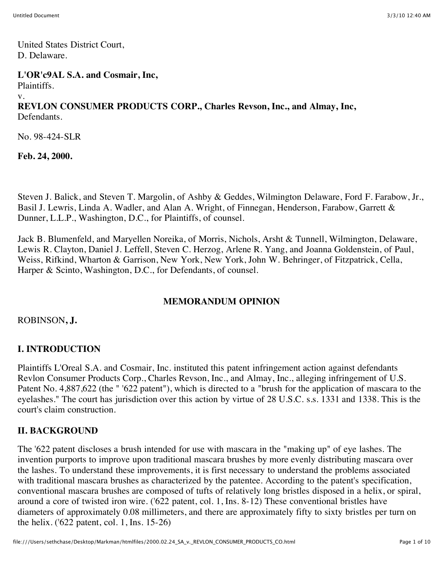United States District Court, D. Delaware.

**L'OR'c9AL S.A. and Cosmair, Inc,**

Plaintiffs.

v.

#### **REVLON CONSUMER PRODUCTS CORP., Charles Revson, Inc., and Almay, Inc,** Defendants.

No. 98-424-SLR

**Feb. 24, 2000.**

Steven J. Balick, and Steven T. Margolin, of Ashby & Geddes, Wilmington Delaware, Ford F. Farabow, Jr., Basil J. Lewris, Linda A. Wadler, and Alan A. Wright, of Finnegan, Henderson, Farabow, Garrett & Dunner, L.L.P., Washington, D.C., for Plaintiffs, of counsel.

Jack B. Blumenfeld, and Maryellen Noreika, of Morris, Nichols, Arsht & Tunnell, Wilmington, Delaware, Lewis R. Clayton, Daniel J. Leffell, Steven C. Herzog, Arlene R. Yang, and Joanna Goldenstein, of Paul, Weiss, Rifkind, Wharton & Garrison, New York, New York, John W. Behringer, of Fitzpatrick, Cella, Harper & Scinto, Washington, D.C., for Defendants, of counsel.

# **MEMORANDUM OPINION**

ROBINSON**, J.**

# **I. INTRODUCTION**

Plaintiffs L'Oreal S.A. and Cosmair, Inc. instituted this patent infringement action against defendants Revlon Consumer Products Corp., Charles Revson, Inc., and Almay, Inc., alleging infringement of U.S. Patent No. 4,887,622 (the " '622 patent"), which is directed to a "brush for the application of mascara to the eyelashes." The court has jurisdiction over this action by virtue of 28 U.S.C. s.s. 1331 and 1338. This is the court's claim construction.

# **II. BACKGROUND**

The '622 patent discloses a brush intended for use with mascara in the "making up" of eye lashes. The invention purports to improve upon traditional mascara brushes by more evenly distributing mascara over the lashes. To understand these improvements, it is first necessary to understand the problems associated with traditional mascara brushes as characterized by the patentee. According to the patent's specification, conventional mascara brushes are composed of tufts of relatively long bristles disposed in a helix, or spiral, around a core of twisted iron wire. ('622 patent, col. 1, Ins. 8-12) These conventional bristles have diameters of approximately 0.08 millimeters, and there are approximately fifty to sixty bristles per turn on the helix. ('622 patent, col. 1, Ins. 15-26)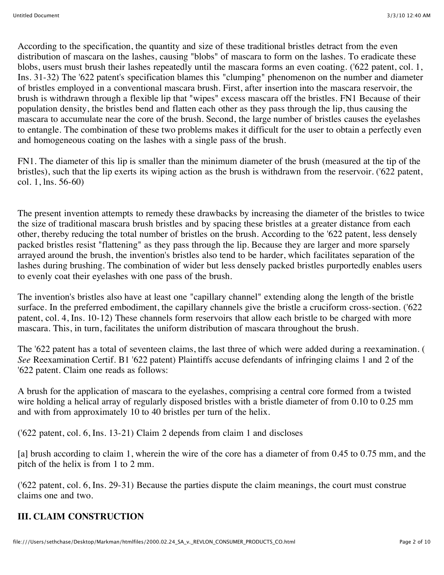According to the specification, the quantity and size of these traditional bristles detract from the even distribution of mascara on the lashes, causing "blobs" of mascara to form on the lashes. To eradicate these blobs, users must brush their lashes repeatedly until the mascara forms an even coating. ('622 patent, col. 1, Ins. 31-32) The '622 patent's specification blames this "clumping" phenomenon on the number and diameter of bristles employed in a conventional mascara brush. First, after insertion into the mascara reservoir, the brush is withdrawn through a flexible lip that "wipes" excess mascara off the bristles. FN1 Because of their population density, the bristles bend and flatten each other as they pass through the lip, thus causing the mascara to accumulate near the core of the brush. Second, the large number of bristles causes the eyelashes to entangle. The combination of these two problems makes it difficult for the user to obtain a perfectly even and homogeneous coating on the lashes with a single pass of the brush.

FN1. The diameter of this lip is smaller than the minimum diameter of the brush (measured at the tip of the bristles), such that the lip exerts its wiping action as the brush is withdrawn from the reservoir. ('622 patent, col. 1, lns. 56-60)

The present invention attempts to remedy these drawbacks by increasing the diameter of the bristles to twice the size of traditional mascara brush bristles and by spacing these bristles at a greater distance from each other, thereby reducing the total number of bristles on the brush. According to the '622 patent, less densely packed bristles resist "flattening" as they pass through the lip. Because they are larger and more sparsely arrayed around the brush, the invention's bristles also tend to be harder, which facilitates separation of the lashes during brushing. The combination of wider but less densely packed bristles purportedly enables users to evenly coat their eyelashes with one pass of the brush.

The invention's bristles also have at least one "capillary channel" extending along the length of the bristle surface. In the preferred embodiment, the capillary channels give the bristle a cruciform cross-section. ('622 patent, col. 4, Ins. 10-12) These channels form reservoirs that allow each bristle to be charged with more mascara. This, in turn, facilitates the uniform distribution of mascara throughout the brush.

The '622 patent has a total of seventeen claims, the last three of which were added during a reexamination. ( *See* Reexamination Certif. B1 '622 patent) Plaintiffs accuse defendants of infringing claims 1 and 2 of the '622 patent. Claim one reads as follows:

A brush for the application of mascara to the eyelashes, comprising a central core formed from a twisted wire holding a helical array of regularly disposed bristles with a bristle diameter of from 0.10 to 0.25 mm and with from approximately 10 to 40 bristles per turn of the helix.

('622 patent, col. 6, Ins. 13-21) Claim 2 depends from claim 1 and discloses

[a] brush according to claim 1, wherein the wire of the core has a diameter of from 0.45 to 0.75 mm, and the pitch of the helix is from 1 to 2 mm.

('622 patent, col. 6, Ins. 29-31) Because the parties dispute the claim meanings, the court must construe claims one and two.

# **III. CLAIM CONSTRUCTION**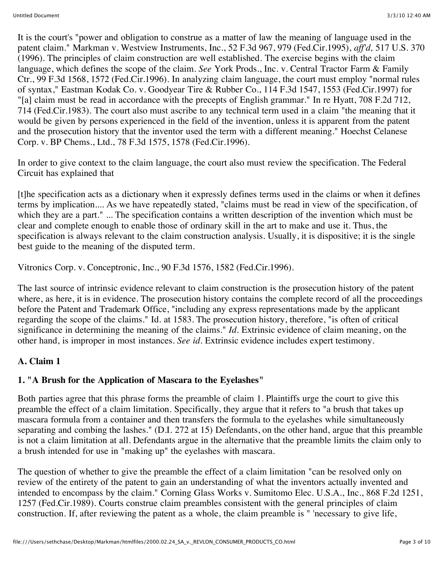It is the court's "power and obligation to construe as a matter of law the meaning of language used in the patent claim." Markman v. Westview Instruments, Inc., 52 F.3d 967, 979 (Fed.Cir.1995), *aff'd,* 517 U.S. 370 (1996). The principles of claim construction are well established. The exercise begins with the claim language, which defines the scope of the claim. *See* York Prods., Inc. v. Central Tractor Farm & Family Ctr., 99 F.3d 1568, 1572 (Fed.Cir.1996). In analyzing claim language, the court must employ "normal rules of syntax," Eastman Kodak Co. v. Goodyear Tire & Rubber Co., 114 F.3d 1547, 1553 (Fed.Cir.1997) for "[a] claim must be read in accordance with the precepts of English grammar." In re Hyatt, 708 F.2d 712, 714 (Fed.Cir.1983). The court also must ascribe to any technical term used in a claim "the meaning that it would be given by persons experienced in the field of the invention, unless it is apparent from the patent and the prosecution history that the inventor used the term with a different meaning." Hoechst Celanese Corp. v. BP Chems., Ltd., 78 F.3d 1575, 1578 (Fed.Cir.1996).

In order to give context to the claim language, the court also must review the specification. The Federal Circuit has explained that

[t]he specification acts as a dictionary when it expressly defines terms used in the claims or when it defines terms by implication.... As we have repeatedly stated, "claims must be read in view of the specification, of which they are a part." ... The specification contains a written description of the invention which must be clear and complete enough to enable those of ordinary skill in the art to make and use it. Thus, the specification is always relevant to the claim construction analysis. Usually, it is dispositive; it is the single best guide to the meaning of the disputed term.

Vitronics Corp. v. Conceptronic, Inc., 90 F.3d 1576, 1582 (Fed.Cir.1996).

The last source of intrinsic evidence relevant to claim construction is the prosecution history of the patent where, as here, it is in evidence. The prosecution history contains the complete record of all the proceedings before the Patent and Trademark Office, "including any express representations made by the applicant regarding the scope of the claims." Id. at 1583. The prosecution history, therefore, "is often of critical significance in determining the meaning of the claims." *Id.* Extrinsic evidence of claim meaning, on the other hand, is improper in most instances. *See id.* Extrinsic evidence includes expert testimony.

# **A. Claim 1**

# **1. "A Brush for the Application of Mascara to the Eyelashes"**

Both parties agree that this phrase forms the preamble of claim 1. Plaintiffs urge the court to give this preamble the effect of a claim limitation. Specifically, they argue that it refers to "a brush that takes up mascara formula from a container and then transfers the formula to the eyelashes while simultaneously separating and combing the lashes." (D.I. 272 at 15) Defendants, on the other hand, argue that this preamble is not a claim limitation at all. Defendants argue in the alternative that the preamble limits the claim only to a brush intended for use in "making up" the eyelashes with mascara.

The question of whether to give the preamble the effect of a claim limitation "can be resolved only on review of the entirety of the patent to gain an understanding of what the inventors actually invented and intended to encompass by the claim." Corning Glass Works v. Sumitomo Elec. U.S.A., Inc., 868 F.2d 1251, 1257 (Fed.Cir.1989). Courts construe claim preambles consistent with the general principles of claim construction. If, after reviewing the patent as a whole, the claim preamble is " 'necessary to give life,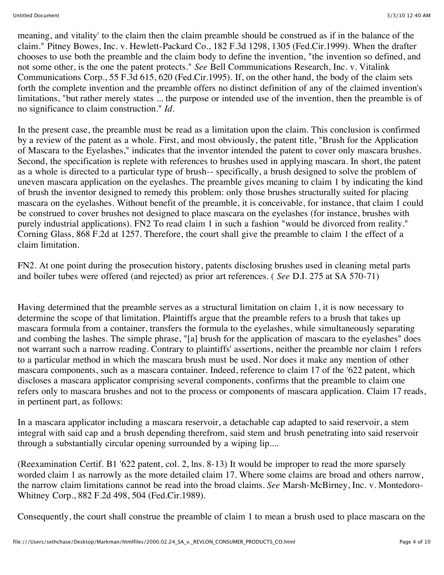meaning, and vitality' to the claim then the claim preamble should be construed as if in the balance of the claim." Pitney Bowes, Inc. v. Hewlett-Packard Co., 182 F.3d 1298, 1305 (Fed.Cir.1999). When the drafter chooses to use both the preamble and the claim body to define the invention, "the invention so defined, and not some other, is the one the patent protects." *See* Bell Communications Research, Inc. v. Vitalink Communications Corp., 55 F.3d 615, 620 (Fed.Cir.1995). If, on the other hand, the body of the claim sets forth the complete invention and the preamble offers no distinct definition of any of the claimed invention's limitations, "but rather merely states ... the purpose or intended use of the invention, then the preamble is of no significance to claim construction." *Id.*

In the present case, the preamble must be read as a limitation upon the claim. This conclusion is confirmed by a review of the patent as a whole. First, and most obviously, the patent title, "Brush for the Application of Mascara to the Eyelashes," indicates that the inventor intended the patent to cover only mascara brushes. Second, the specification is replete with references to brushes used in applying mascara. In short, the patent as a whole is directed to a particular type of brush-- specifically, a brush designed to solve the problem of uneven mascara application on the eyelashes. The preamble gives meaning to claim 1 by indicating the kind of brush the inventor designed to remedy this problem: only those brushes structurally suited for placing mascara on the eyelashes. Without benefit of the preamble, it is conceivable, for instance, that claim 1 could be construed to cover brushes not designed to place mascara on the eyelashes (for instance, brushes with purely industrial applications). FN2 To read claim 1 in such a fashion "would be divorced from reality." Corning Glass, 868 F.2d at 1257. Therefore, the court shall give the preamble to claim 1 the effect of a claim limitation.

FN2. At one point during the prosecution history, patents disclosing brushes used in cleaning metal parts and boiler tubes were offered (and rejected) as prior art references. ( *See* D.I. 275 at SA 570-71)

Having determined that the preamble serves as a structural limitation on claim 1, it is now necessary to determine the scope of that limitation. Plaintiffs argue that the preamble refers to a brush that takes up mascara formula from a container, transfers the formula to the eyelashes, while simultaneously separating and combing the lashes. The simple phrase, "[a] brush for the application of mascara to the eyelashes" does not warrant such a narrow reading. Contrary to plaintiffs' assertions, neither the preamble nor claim 1 refers to a particular method in which the mascara brush must be used. Nor does it make any mention of other mascara components, such as a mascara container. Indeed, reference to claim 17 of the '622 patent, which discloses a mascara applicator comprising several components, confirms that the preamble to claim one refers only to mascara brushes and not to the process or components of mascara application. Claim 17 reads, in pertinent part, as follows:

In a mascara applicator including a mascara reservoir, a detachable cap adapted to said reservoir, a stem integral with said cap and a brush depending therefrom, said stem and brush penetrating into said reservoir through a substantially circular opening surrounded by a wiping lip....

(Reexamination Certif. B1 '622 patent, col. 2, lns. 8-13) It would be improper to read the more sparsely worded claim 1 as narrowly as the more detailed claim 17. Where some claims are broad and others narrow, the narrow claim limitations cannot be read into the broad claims. *See* Marsh-McBirney, Inc. v. Montedoro-Whitney Corp., 882 F.2d 498, 504 (Fed.Cir.1989).

Consequently, the court shall construe the preamble of claim 1 to mean a brush used to place mascara on the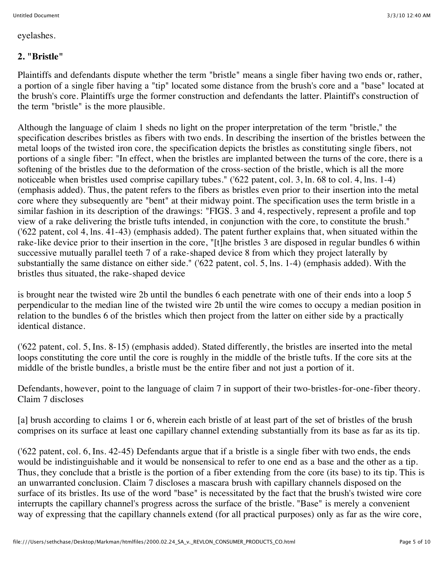eyelashes.

#### **2. "Bristle"**

Plaintiffs and defendants dispute whether the term "bristle" means a single fiber having two ends or, rather, a portion of a single fiber having a "tip" located some distance from the brush's core and a "base" located at the brush's core. Plaintiffs urge the former construction and defendants the latter. Plaintiff's construction of the term "bristle" is the more plausible.

Although the language of claim 1 sheds no light on the proper interpretation of the term "bristle," the specification describes bristles as fibers with two ends. In describing the insertion of the bristles between the metal loops of the twisted iron core, the specification depicts the bristles as constituting single fibers, not portions of a single fiber: "In effect, when the bristles are implanted between the turns of the core, there is a softening of the bristles due to the deformation of the cross-section of the bristle, which is all the more noticeable when bristles used comprise capillary tubes." ('622 patent, col. 3, ln. 68 to col. 4, lns. 1-4) (emphasis added). Thus, the patent refers to the fibers as bristles even prior to their insertion into the metal core where they subsequently are "bent" at their midway point. The specification uses the term bristle in a similar fashion in its description of the drawings: "FIGS. 3 and 4, respectively, represent a profile and top view of a rake delivering the bristle tufts intended, in conjunction with the core, to constitute the brush." ('622 patent, col 4, lns. 41-43) (emphasis added). The patent further explains that, when situated within the rake-like device prior to their insertion in the core, "[t]he bristles 3 are disposed in regular bundles 6 within successive mutually parallel teeth 7 of a rake-shaped device 8 from which they project laterally by substantially the same distance on either side." ('622 patent, col. 5, lns. 1-4) (emphasis added). With the bristles thus situated, the rake-shaped device

is brought near the twisted wire 2b until the bundles 6 each penetrate with one of their ends into a loop 5 perpendicular to the median line of the twisted wire 2b until the wire comes to occupy a median position in relation to the bundles 6 of the bristles which then project from the latter on either side by a practically identical distance.

('622 patent, col. 5, Ins. 8-15) (emphasis added). Stated differently, the bristles are inserted into the metal loops constituting the core until the core is roughly in the middle of the bristle tufts. If the core sits at the middle of the bristle bundles, a bristle must be the entire fiber and not just a portion of it.

Defendants, however, point to the language of claim 7 in support of their two-bristles-for-one-fiber theory. Claim 7 discloses

[a] brush according to claims 1 or 6, wherein each bristle of at least part of the set of bristles of the brush comprises on its surface at least one capillary channel extending substantially from its base as far as its tip.

('622 patent, col. 6, Ins. 42-45) Defendants argue that if a bristle is a single fiber with two ends, the ends would be indistinguishable and it would be nonsensical to refer to one end as a base and the other as a tip. Thus, they conclude that a bristle is the portion of a fiber extending from the core (its base) to its tip. This is an unwarranted conclusion. Claim 7 discloses a mascara brush with capillary channels disposed on the surface of its bristles. Its use of the word "base" is necessitated by the fact that the brush's twisted wire core interrupts the capillary channel's progress across the surface of the bristle. "Base" is merely a convenient way of expressing that the capillary channels extend (for all practical purposes) only as far as the wire core,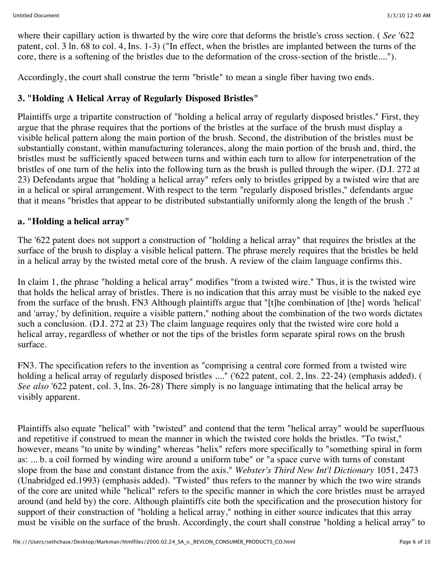where their capillary action is thwarted by the wire core that deforms the bristle's cross section. ( *See* '622 patent, col. 3 ln. 68 to col. 4, Ins. 1-3) ("In effect, when the bristles are implanted between the turns of the core, there is a softening of the bristles due to the deformation of the cross-section of the bristle....").

Accordingly, the court shall construe the term "bristle" to mean a single fiber having two ends.

#### **3. "Holding A Helical Array of Regularly Disposed Bristles"**

Plaintiffs urge a tripartite construction of "holding a helical array of regularly disposed bristles." First, they argue that the phrase requires that the portions of the bristles at the surface of the brush must display a visible helical pattern along the main portion of the brush. Second, the distribution of the bristles must be substantially constant, within manufacturing tolerances, along the main portion of the brush and, third, the bristles must be sufficiently spaced between turns and within each turn to allow for interpenetration of the bristles of one turn of the helix into the following turn as the brush is pulled through the wiper. (D.I. 272 at 23) Defendants argue that "holding a helical array" refers only to bristles gripped by a twisted wire that are in a helical or spiral arrangement. With respect to the term "regularly disposed bristles," defendants argue that it means "bristles that appear to be distributed substantially uniformly along the length of the brush ."

#### **a. "Holding a helical array"**

The '622 patent does not support a construction of "holding a helical array" that requires the bristles at the surface of the brush to display a visible helical pattern. The phrase merely requires that the bristles be held in a helical array by the twisted metal core of the brush. A review of the claim language confirms this.

In claim 1, the phrase "holding a helical array" modifies "from a twisted wire." Thus, it is the twisted wire that holds the helical array of bristles. There is no indication that this array must be visible to the naked eye from the surface of the brush. FN3 Although plaintiffs argue that "[t]he combination of [the] words 'helical' and 'array,' by definition, require a visible pattern," nothing about the combination of the two words dictates such a conclusion. (D.I. 272 at 23) The claim language requires only that the twisted wire core hold a helical array, regardless of whether or not the tips of the bristles form separate spiral rows on the brush surface.

FN3. The specification refers to the invention as "comprising a central core formed from a twisted wire holding a helical array of regularly disposed bristles ...." ('622 patent, col. 2, lns. 22-24) (emphasis added). ( *See also* '622 patent, col. 3, lns. 26-28) There simply is no language intimating that the helical array be visibly apparent.

Plaintiffs also equate "helical" with "twisted" and contend that the term "helical array" would be superfluous and repetitive if construed to mean the manner in which the twisted core holds the bristles. "To twist," however, means "to unite by winding" whereas "helix" refers more specifically to "something spiral in form as: ... b. a coil formed by winding wire around a uniform tube" or "a space curve with turns of constant slope from the base and constant distance from the axis." *Webster's Third New Int'l Dictionary* 1051, 2473 (Unabridged ed.1993) (emphasis added). "Twisted" thus refers to the manner by which the two wire strands of the core are united while "helical" refers to the specific manner in which the core bristles must be arrayed around (and held by) the core. Although plaintiffs cite both the specification and the prosecution history for support of their construction of "holding a helical array," nothing in either source indicates that this array must be visible on the surface of the brush. Accordingly, the court shall construe "holding a helical array" to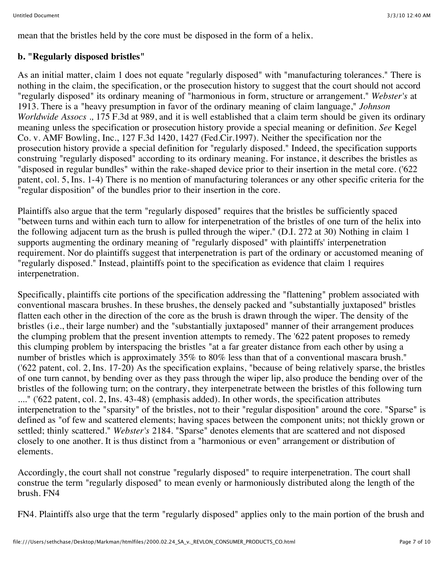mean that the bristles held by the core must be disposed in the form of a helix.

#### **b. "Regularly disposed bristles"**

As an initial matter, claim 1 does not equate "regularly disposed" with "manufacturing tolerances." There is nothing in the claim, the specification, or the prosecution history to suggest that the court should not accord "regularly disposed" its ordinary meaning of "harmonious in form, structure or arrangement." *Webster's* at 1913. There is a "heavy presumption in favor of the ordinary meaning of claim language," *Johnson Worldwide Assocs .,* 175 F.3d at 989, and it is well established that a claim term should be given its ordinary meaning unless the specification or prosecution history provide a special meaning or definition. *See* Kegel Co. v. AMF Bowling, Inc., 127 F.3d 1420, 1427 (Fed.Cir.1997). Neither the specification nor the prosecution history provide a special definition for "regularly disposed." Indeed, the specification supports construing "regularly disposed" according to its ordinary meaning. For instance, it describes the bristles as "disposed in regular bundles" within the rake-shaped device prior to their insertion in the metal core. ('622 patent, col. 5, Ins. 1-4) There is no mention of manufacturing tolerances or any other specific criteria for the "regular disposition" of the bundles prior to their insertion in the core.

Plaintiffs also argue that the term "regularly disposed" requires that the bristles be sufficiently spaced "between turns and within each turn to allow for interpenetration of the bristles of one turn of the helix into the following adjacent turn as the brush is pulled through the wiper." (D.I. 272 at 30) Nothing in claim 1 supports augmenting the ordinary meaning of "regularly disposed" with plaintiffs' interpenetration requirement. Nor do plaintiffs suggest that interpenetration is part of the ordinary or accustomed meaning of "regularly disposed." Instead, plaintiffs point to the specification as evidence that claim 1 requires interpenetration.

Specifically, plaintiffs cite portions of the specification addressing the "flattening" problem associated with conventional mascara brushes. In these brushes, the densely packed and "substantially juxtaposed" bristles flatten each other in the direction of the core as the brush is drawn through the wiper. The density of the bristles (i.e., their large number) and the "substantially juxtaposed" manner of their arrangement produces the clumping problem that the present invention attempts to remedy. The '622 patent proposes to remedy this clumping problem by interspacing the bristles "at a far greater distance from each other by using a number of bristles which is approximately 35% to 80% less than that of a conventional mascara brush." ('622 patent, col. 2, Ins. 17-20) As the specification explains, "because of being relatively sparse, the bristles of one turn cannot, by bending over as they pass through the wiper lip, also produce the bending over of the bristles of the following turn; on the contrary, they interpenetrate between the bristles of this following turn ...." ('622 patent, col. 2, Ins. 43-48) (emphasis added). In other words, the specification attributes interpenetration to the "sparsity" of the bristles, not to their "regular disposition" around the core. "Sparse" is defined as "of few and scattered elements; having spaces between the component units; not thickly grown or settled; thinly scattered." *Webster's* 2184. "Sparse" denotes elements that are scattered and not disposed closely to one another. It is thus distinct from a "harmonious or even" arrangement or distribution of elements.

Accordingly, the court shall not construe "regularly disposed" to require interpenetration. The court shall construe the term "regularly disposed" to mean evenly or harmoniously distributed along the length of the brush. FN4

FN4. Plaintiffs also urge that the term "regularly disposed" applies only to the main portion of the brush and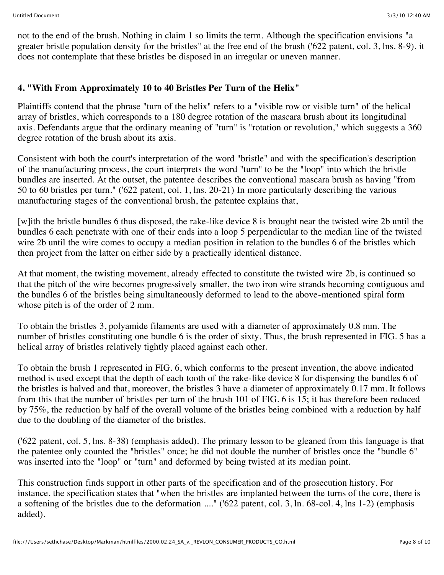not to the end of the brush. Nothing in claim 1 so limits the term. Although the specification envisions "a greater bristle population density for the bristles" at the free end of the brush ('622 patent, col. 3, lns. 8-9), it does not contemplate that these bristles be disposed in an irregular or uneven manner.

#### **4. "With From Approximately 10 to 40 Bristles Per Turn of the Helix"**

Plaintiffs contend that the phrase "turn of the helix" refers to a "visible row or visible turn" of the helical array of bristles, which corresponds to a 180 degree rotation of the mascara brush about its longitudinal axis. Defendants argue that the ordinary meaning of "turn" is "rotation or revolution," which suggests a 360 degree rotation of the brush about its axis.

Consistent with both the court's interpretation of the word "bristle" and with the specification's description of the manufacturing process, the court interprets the word "turn" to be the "loop" into which the bristle bundles are inserted. At the outset, the patentee describes the conventional mascara brush as having "from 50 to 60 bristles per turn." ('622 patent, col. 1, lns. 20-21) In more particularly describing the various manufacturing stages of the conventional brush, the patentee explains that,

[w]ith the bristle bundles 6 thus disposed, the rake-like device 8 is brought near the twisted wire 2b until the bundles 6 each penetrate with one of their ends into a loop 5 perpendicular to the median line of the twisted wire 2b until the wire comes to occupy a median position in relation to the bundles 6 of the bristles which then project from the latter on either side by a practically identical distance.

At that moment, the twisting movement, already effected to constitute the twisted wire 2b, is continued so that the pitch of the wire becomes progressively smaller, the two iron wire strands becoming contiguous and the bundles 6 of the bristles being simultaneously deformed to lead to the above-mentioned spiral form whose pitch is of the order of 2 mm.

To obtain the bristles 3, polyamide filaments are used with a diameter of approximately 0.8 mm. The number of bristles constituting one bundle 6 is the order of sixty. Thus, the brush represented in FIG. 5 has a helical array of bristles relatively tightly placed against each other.

To obtain the brush 1 represented in FIG. 6, which conforms to the present invention, the above indicated method is used except that the depth of each tooth of the rake-like device 8 for dispensing the bundles 6 of the bristles is halved and that, moreover, the bristles 3 have a diameter of approximately 0.17 mm. It follows from this that the number of bristles per turn of the brush 101 of FIG. 6 is 15; it has therefore been reduced by 75%, the reduction by half of the overall volume of the bristles being combined with a reduction by half due to the doubling of the diameter of the bristles.

('622 patent, col. 5, lns. 8-38) (emphasis added). The primary lesson to be gleaned from this language is that the patentee only counted the "bristles" once; he did not double the number of bristles once the "bundle 6" was inserted into the "loop" or "turn" and deformed by being twisted at its median point.

This construction finds support in other parts of the specification and of the prosecution history. For instance, the specification states that "when the bristles are implanted between the turns of the core, there is a softening of the bristles due to the deformation ...." ('622 patent, col. 3, ln. 68-col. 4, lns 1-2) (emphasis added).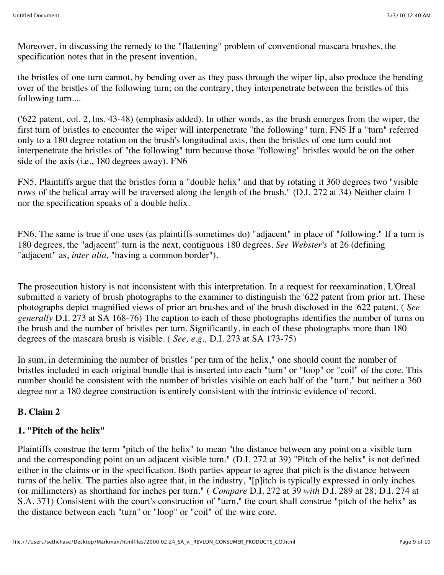Moreover, in discussing the remedy to the "flattening" problem of conventional mascara brushes, the specification notes that in the present invention,

the bristles of one turn cannot, by bending over as they pass through the wiper lip, also produce the bending over of the bristles of the following turn; on the contrary, they interpenetrate between the bristles of this following turn....

('622 patent, col. 2, lns. 43-48) (emphasis added). In other words, as the brush emerges from the wiper, the first turn of bristles to encounter the wiper will interpenetrate "the following" turn. FN5 If a "turn" referred only to a 180 degree rotation on the brush's longitudinal axis, then the bristles of one turn could not interpenetrate the bristles of "the following" turn because those "following" bristles would be on the other side of the axis (i.e., 180 degrees away). FN6

FN5. Plaintiffs argue that the bristles form a "double helix" and that by rotating it 360 degrees two "visible rows of the helical array will be traversed along the length of the brush." (D.I. 272 at 34) Neither claim 1 nor the specification speaks of a double helix.

FN6. The same is true if one uses (as plaintiffs sometimes do) "adjacent" in place of "following." If a turn is 180 degrees, the "adjacent" turn is the next, contiguous 180 degrees. *See Webster's* at 26 (defining "adjacent" as, *inter alia,* "having a common border").

The prosecution history is not inconsistent with this interpretation. In a request for reexamination, L'Oreal submitted a variety of brush photographs to the examiner to distinguish the '622 patent from prior art. These photographs depict magnified views of prior art brushes and of the brush disclosed in the '622 patent. ( *See generally* D.I. 273 at SA 168-76) The caption to each of these photographs identifies the number of turns on the brush and the number of bristles per turn. Significantly, in each of these photographs more than 180 degrees of the mascara brush is visible. ( *See, e.g.,* D.I. 273 at SA 173-75)

In sum, in determining the number of bristles "per turn of the helix," one should count the number of bristles included in each original bundle that is inserted into each "turn" or "loop" or "coil" of the core. This number should be consistent with the number of bristles visible on each half of the "turn," but neither a 360 degree nor a 180 degree construction is entirely consistent with the intrinsic evidence of record.

#### **B. Claim 2**

# **1. "Pitch of the helix"**

Plaintiffs construe the term "pitch of the helix" to mean "the distance between any point on a visible turn and the corresponding point on an adjacent visible turn." (D.I. 272 at 39) "Pitch of the helix" is not defined either in the claims or in the specification. Both parties appear to agree that pitch is the distance between turns of the helix. The parties also agree that, in the industry, "[p]itch is typically expressed in only inches (or millimeters) as shorthand for inches per turn." ( *Compare* D.I. 272 at 39 *with* D.I. 289 at 28; D.I. 274 at S.A. 371) Consistent with the court's construction of "turn," the court shall construe "pitch of the helix" as the distance between each "turn" or "loop" or "coil" of the wire core.